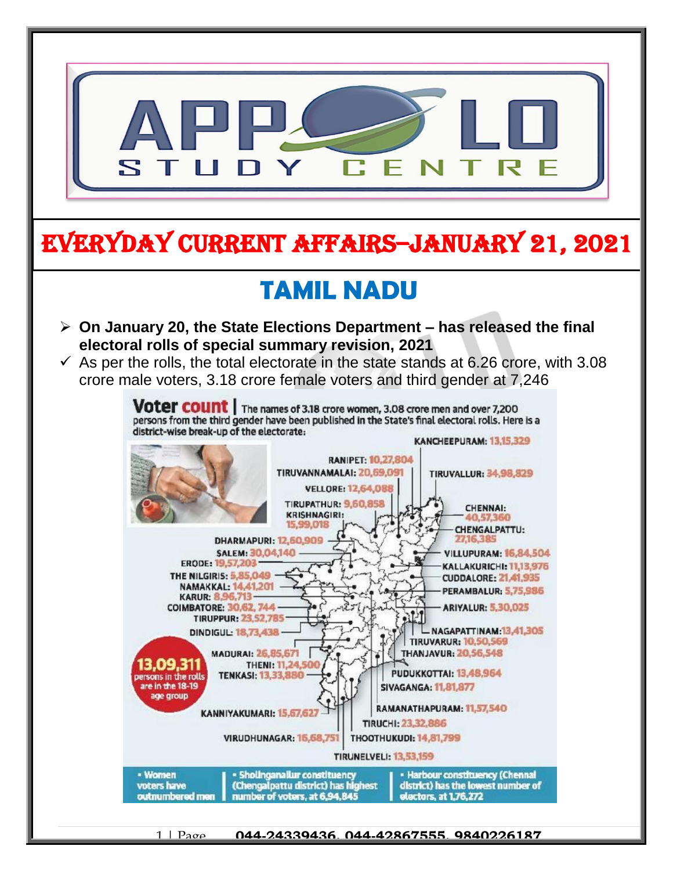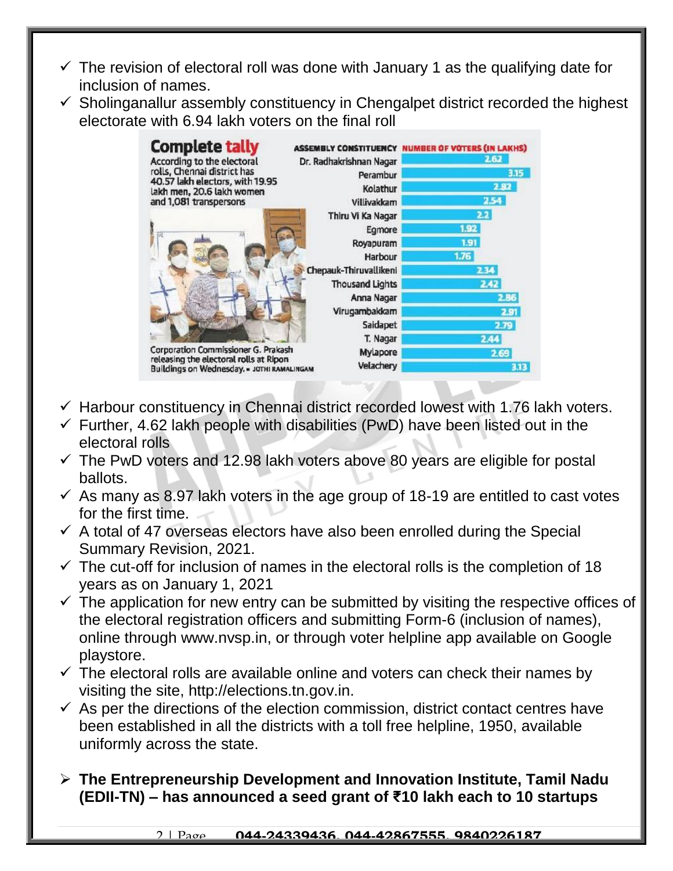- $\checkmark$  The revision of electoral roll was done with January 1 as the qualifying date for inclusion of names.
- $\checkmark$  Sholinganallur assembly constituency in Chengalpet district recorded the highest electorate with 6.94 lakh voters on the final roll



- $\checkmark$  Harbour constituency in Chennai district recorded lowest with 1.76 lakh voters.
- $\checkmark$  Further, 4.62 lakh people with disabilities (PwD) have been listed out in the electoral rolls
- $\checkmark$  The PwD voters and 12.98 lakh voters above 80 years are eligible for postal ballots.
- $\checkmark$  As many as 8.97 lakh voters in the age group of 18-19 are entitled to cast votes for the first time.
- $\checkmark$  A total of 47 overseas electors have also been enrolled during the Special Summary Revision, 2021.
- $\checkmark$  The cut-off for inclusion of names in the electoral rolls is the completion of 18 years as on January 1, 2021
- $\checkmark$  The application for new entry can be submitted by visiting the respective offices of the electoral registration officers and submitting Form-6 (inclusion of names), online through www.nvsp.in, or through voter helpline app available on Google playstore.
- $\checkmark$  The electoral rolls are available online and voters can check their names by visiting the site, http://elections.tn.gov.in.
- $\checkmark$  As per the directions of the election commission, district contact centres have been established in all the districts with a toll free helpline, 1950, available uniformly across the state.
- **The Entrepreneurship Development and Innovation Institute, Tamil Nadu (EDII-TN) – has announced a seed grant of ₹10 lakh each to 10 startups**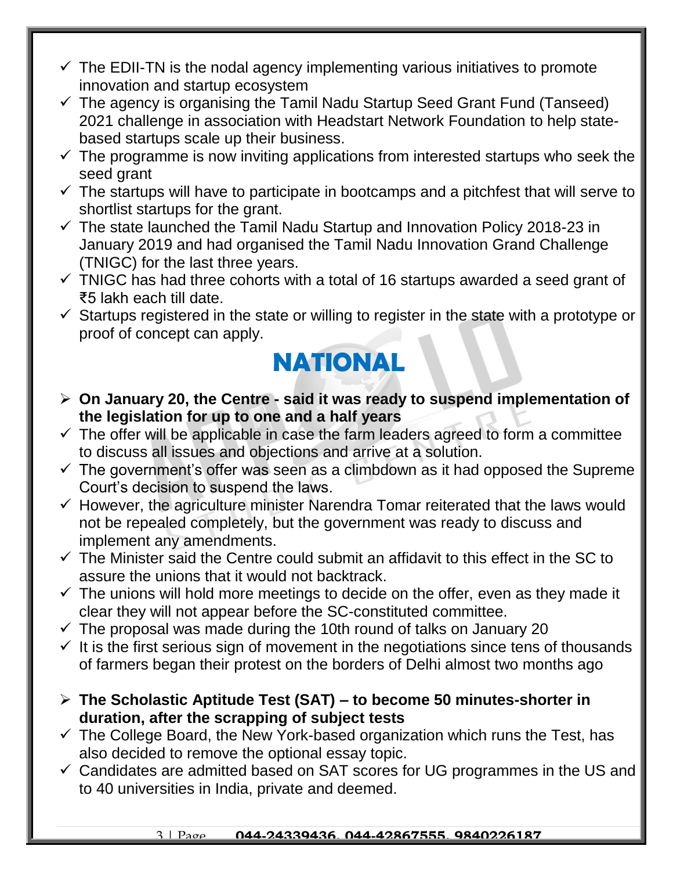- $\checkmark$  The EDII-TN is the nodal agency implementing various initiatives to promote innovation and startup ecosystem
- $\checkmark$  The agency is organising the Tamil Nadu Startup Seed Grant Fund (Tanseed) 2021 challenge in association with Headstart Network Foundation to help statebased startups scale up their business.
- $\checkmark$  The programme is now inviting applications from interested startups who seek the seed grant
- $\checkmark$  The startups will have to participate in bootcamps and a pitchfest that will serve to shortlist startups for the grant.
- $\checkmark$  The state launched the Tamil Nadu Startup and Innovation Policy 2018-23 in January 2019 and had organised the Tamil Nadu Innovation Grand Challenge (TNIGC) for the last three years.
- $\checkmark$  TNIGC has had three cohorts with a total of 16 startups awarded a seed grant of ₹5 lakh each till date.
- $\checkmark$  Startups registered in the state or willing to register in the state with a prototype or proof of concept can apply.

### **NATIONAL**

- **On January 20, the Centre - said it was ready to suspend implementation of the legislation for up to one and a half years**
- $\checkmark$  The offer will be applicable in case the farm leaders agreed to form a committee to discuss all issues and objections and arrive at a solution.
- $\checkmark$  The government's offer was seen as a climbdown as it had opposed the Supreme Court's decision to suspend the laws.
- $\checkmark$  However, the agriculture minister Narendra Tomar reiterated that the laws would not be repealed completely, but the government was ready to discuss and implement any amendments.
- $\checkmark$  The Minister said the Centre could submit an affidavit to this effect in the SC to assure the unions that it would not backtrack.
- $\checkmark$  The unions will hold more meetings to decide on the offer, even as they made it clear they will not appear before the SC-constituted committee.
- $\checkmark$  The proposal was made during the 10th round of talks on January 20
- $\checkmark$  It is the first serious sign of movement in the negotiations since tens of thousands of farmers began their protest on the borders of Delhi almost two months ago
- **The Scholastic Aptitude Test (SAT) – to become 50 minutes-shorter in duration, after the scrapping of subject tests**
- $\checkmark$  The College Board, the New York-based organization which runs the Test, has also decided to remove the optional essay topic.
- $\checkmark$  Candidates are admitted based on SAT scores for UG programmes in the US and to 40 universities in India, private and deemed.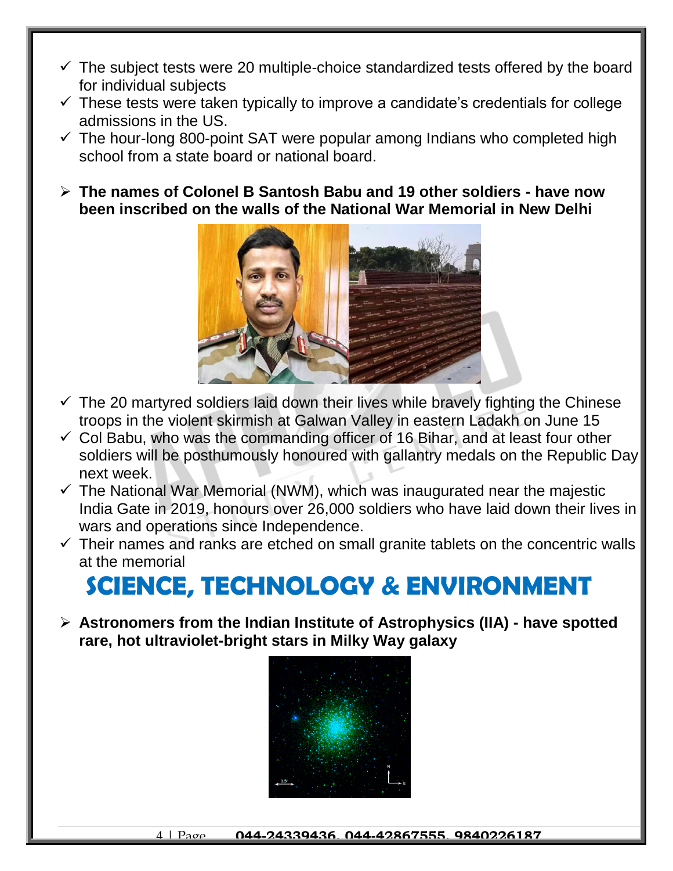- $\checkmark$  The subject tests were 20 multiple-choice standardized tests offered by the board for individual subjects
- $\checkmark$  These tests were taken typically to improve a candidate's credentials for college admissions in the US.
- $\checkmark$  The hour-long 800-point SAT were popular among Indians who completed high school from a state board or national board.
- **The names of Colonel B Santosh Babu and 19 other soldiers - have now been inscribed on the walls of the National War Memorial in New Delhi**



- $\checkmark$  The 20 martyred soldiers laid down their lives while bravely fighting the Chinese troops in the violent skirmish at Galwan Valley in eastern Ladakh on June 15
- $\checkmark$  Col Babu, who was the commanding officer of 16 Bihar, and at least four other soldiers will be posthumously honoured with gallantry medals on the Republic Day next week.
- $\checkmark$  The National War Memorial (NWM), which was inaugurated near the majestic India Gate in 2019, honours over 26,000 soldiers who have laid down their lives in wars and operations since Independence.
- $\checkmark$  Their names and ranks are etched on small granite tablets on the concentric walls at the memorial

# **SCIENCE, TECHNOLOGY & ENVIRONMENT**

 **Astronomers from the Indian Institute of Astrophysics (IIA) - have spotted rare, hot ultraviolet-bright stars in Milky Way galaxy**

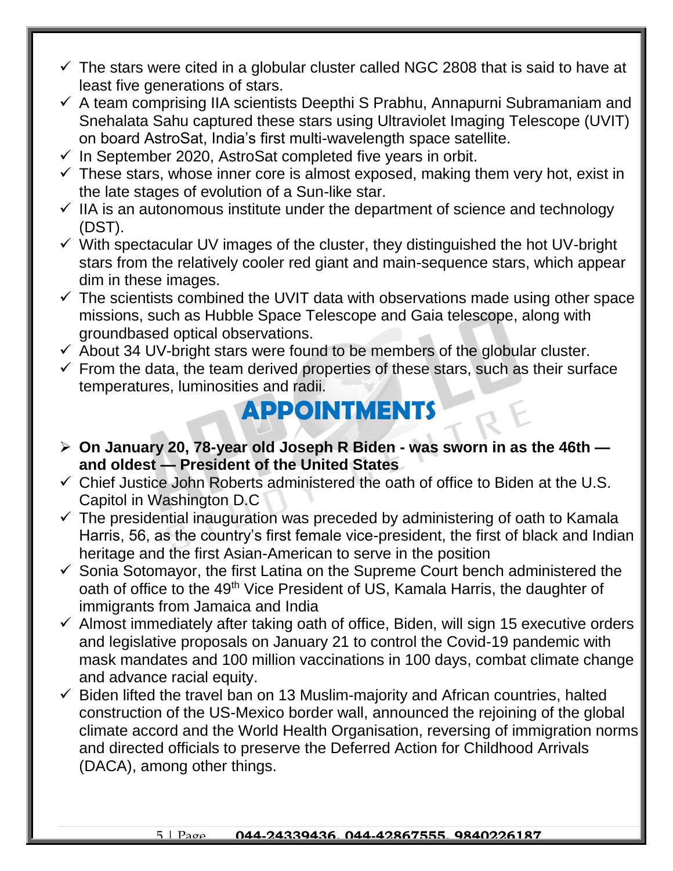- $\checkmark$  The stars were cited in a globular cluster called NGC 2808 that is said to have at least five generations of stars.
- $\checkmark$  A team comprising IIA scientists Deepthi S Prabhu, Annapurni Subramaniam and Snehalata Sahu captured these stars using Ultraviolet Imaging Telescope (UVIT) on board AstroSat, India's first multi-wavelength space satellite.
- $\checkmark$  In September 2020, AstroSat completed five years in orbit.
- $\checkmark$  These stars, whose inner core is almost exposed, making them very hot, exist in the late stages of evolution of a Sun-like star.
- $\checkmark$  IIA is an autonomous institute under the department of science and technology (DST).
- $\checkmark$  With spectacular UV images of the cluster, they distinguished the hot UV-bright stars from the relatively cooler red giant and main-sequence stars, which appear dim in these images.
- $\checkmark$  The scientists combined the UVIT data with observations made using other space missions, such as Hubble Space Telescope and Gaia telescope, along with groundbased optical observations.
- $\checkmark$  About 34 UV-bright stars were found to be members of the globular cluster.
- $\checkmark$  From the data, the team derived properties of these stars, such as their surface temperatures, luminosities and radii.

### **APPOINTMENTS**

- **On January 20, 78-year old Joseph R Biden - was sworn in as the 46th and oldest — President of the United States**
- $\checkmark$  Chief Justice John Roberts administered the oath of office to Biden at the U.S. Capitol in Washington D.C
- $\checkmark$  The presidential inauguration was preceded by administering of oath to Kamala Harris, 56, as the country's first female vice-president, the first of black and Indian heritage and the first Asian-American to serve in the position
- $\checkmark$  Sonia Sotomayor, the first Latina on the Supreme Court bench administered the oath of office to the 49<sup>th</sup> Vice President of US, Kamala Harris, the daughter of immigrants from Jamaica and India
- $\checkmark$  Almost immediately after taking oath of office, Biden, will sign 15 executive orders and legislative proposals on January 21 to control the Covid-19 pandemic with mask mandates and 100 million vaccinations in 100 days, combat climate change and advance racial equity.
- $\checkmark$  Biden lifted the travel ban on 13 Muslim-majority and African countries, halted construction of the US-Mexico border wall, announced the rejoining of the global climate accord and the World Health Organisation, reversing of immigration norms and directed officials to preserve the Deferred Action for Childhood Arrivals (DACA), among other things.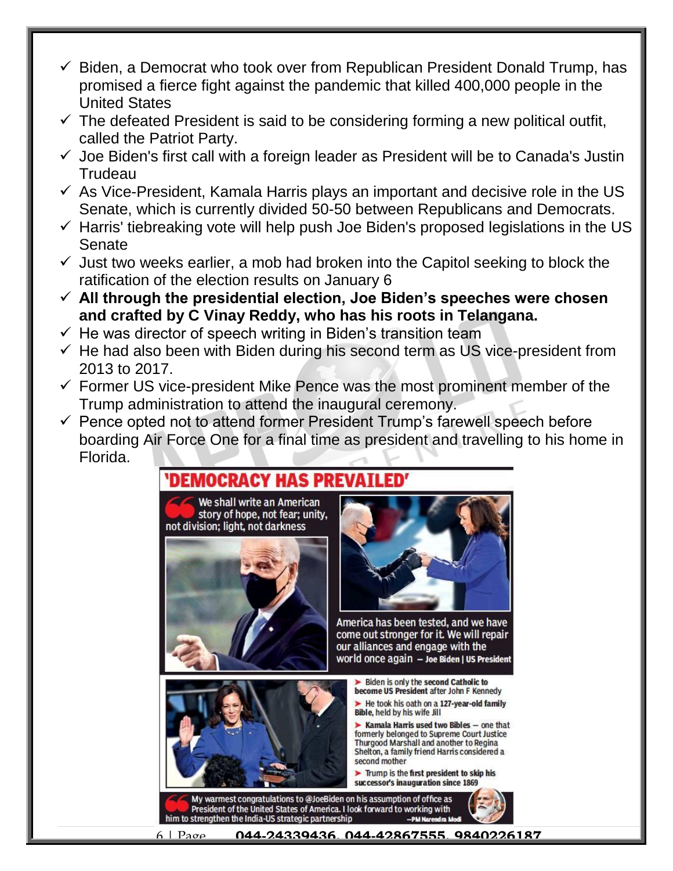- $\checkmark$  Biden, a Democrat who took over from Republican President Donald Trump, has promised a fierce fight against the pandemic that killed 400,000 people in the United States
- $\checkmark$  The defeated President is said to be considering forming a new political outfit, called the Patriot Party.
- $\checkmark$  Joe Biden's first call with a foreign leader as President will be to Canada's Justin Trudeau
- $\checkmark$  As Vice-President, Kamala Harris plays an important and decisive role in the US Senate, which is currently divided 50-50 between Republicans and Democrats.
- $\checkmark$  Harris' tiebreaking vote will help push Joe Biden's proposed legislations in the US Senate
- $\checkmark$  Just two weeks earlier, a mob had broken into the Capitol seeking to block the ratification of the election results on January 6
- **All through the presidential election, Joe Biden's speeches were chosen and crafted by C Vinay Reddy, who has his roots in Telangana.**
- $\checkmark$  He was director of speech writing in Biden's transition team
- $\checkmark$  He had also been with Biden during his second term as US vice-president from 2013 to 2017.
- $\checkmark$  Former US vice-president Mike Pence was the most prominent member of the Trump administration to attend the inaugural ceremony.
- $\checkmark$  Pence opted not to attend former President Trump's farewell speech before boarding Air Force One for a final time as president and travelling to his home in Florida.

#### DEMOCRACY HAS PREVATLED'

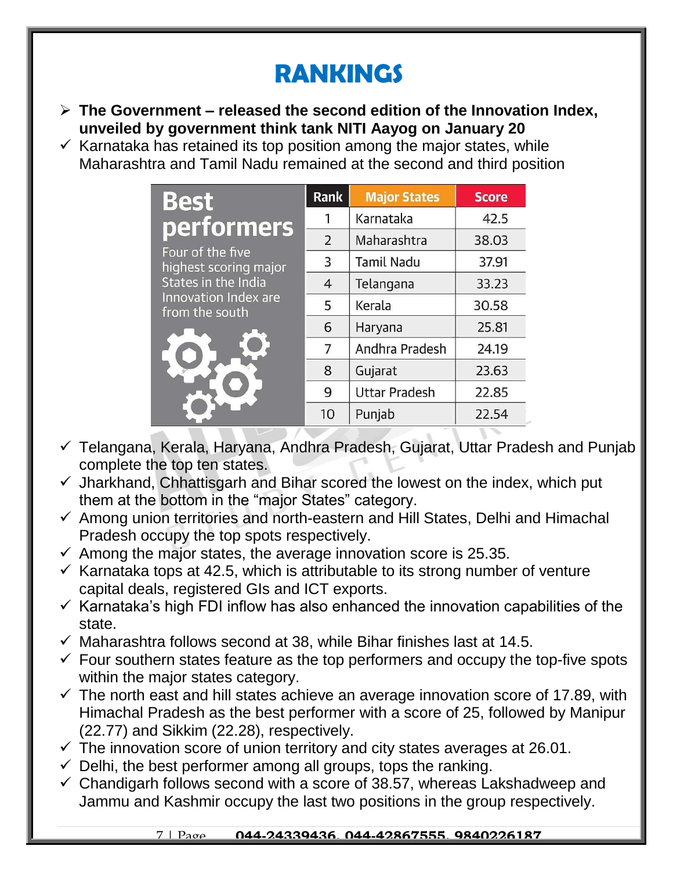# **RANKINGS**

- **The Government – released the second edition of the Innovation Index, unveiled by government think tank NITI Aayog on January 20**
- $\checkmark$  Karnataka has retained its top position among the major states, while Maharashtra and Tamil Nadu remained at the second and third position

| <b>Best</b>                                                                                                                     | <b>Rank</b>    | <b>Major States</b>  | <b>Score</b> |
|---------------------------------------------------------------------------------------------------------------------------------|----------------|----------------------|--------------|
| <b>performers</b><br>Four of the five<br>highest scoring major<br>States in the India<br>Innovation Index are<br>from the south | 1              | Karnataka            | 42.5         |
|                                                                                                                                 | $\overline{2}$ | Maharashtra          | 38.03        |
|                                                                                                                                 | 3              | <b>Tamil Nadu</b>    | 37.91        |
|                                                                                                                                 | $\overline{4}$ | Telangana            | 33.23        |
|                                                                                                                                 | 5              | Kerala               | 30.58        |
|                                                                                                                                 | 6              | Haryana              | 25.81        |
|                                                                                                                                 | $\overline{7}$ | Andhra Pradesh       | 24.19        |
|                                                                                                                                 | 8              | Gujarat              | 23.63        |
|                                                                                                                                 | 9              | <b>Uttar Pradesh</b> | 22.85        |
|                                                                                                                                 | 10             | Punjab               | 22.54        |

- Telangana, Kerala, Haryana, Andhra Pradesh, Gujarat, Uttar Pradesh and Punjab complete the top ten states.
- $\checkmark$  Jharkhand, Chhattisgarh and Bihar scored the lowest on the index, which put them at the bottom in the "major States" category.
- $\checkmark$  Among union territories and north-eastern and Hill States, Delhi and Himachal Pradesh occupy the top spots respectively.
- $\checkmark$  Among the major states, the average innovation score is 25.35.
- $\checkmark$  Karnataka tops at 42.5, which is attributable to its strong number of venture capital deals, registered GIs and ICT exports.
- $\checkmark$  Karnataka's high FDI inflow has also enhanced the innovation capabilities of the state.
- $\checkmark$  Maharashtra follows second at 38, while Bihar finishes last at 14.5.
- $\checkmark$  Four southern states feature as the top performers and occupy the top-five spots within the major states category.
- $\checkmark$  The north east and hill states achieve an average innovation score of 17.89, with Himachal Pradesh as the best performer with a score of 25, followed by Manipur (22.77) and Sikkim (22.28), respectively.
- $\checkmark$  The innovation score of union territory and city states averages at 26.01.
- $\checkmark$  Delhi, the best performer among all groups, tops the ranking.
- $\checkmark$  Chandigarh follows second with a score of 38.57, whereas Lakshadweep and Jammu and Kashmir occupy the last two positions in the group respectively.